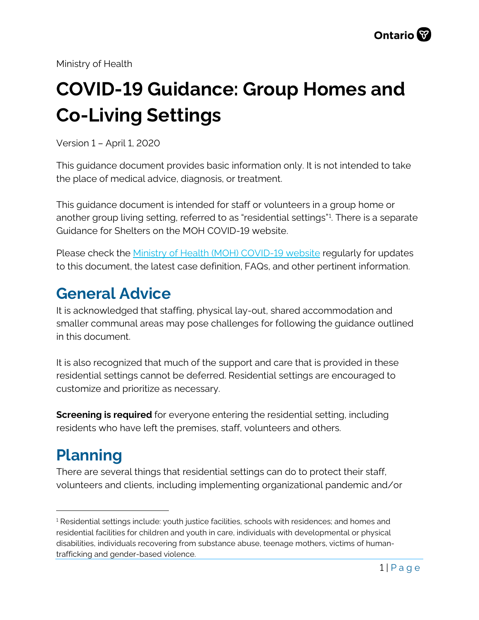Ministry of Health

# **COVID-19 Guidance: Group Homes and Co-Living Settings**

Version 1 – April 1, 2020

This guidance document provides basic information only. It is not intended to take the place of medical advice, diagnosis, or treatment.

This guidance document is intended for staff or volunteers in a group home or another group living setting, referred to as "residential settings"[1](#page-0-0) . There is a separate Guidance for Shelters on the MOH COVID-19 website.

Please check the [Ministry of Health \(MOH\) COVID-19 website](http://www.health.gov.on.ca/en/pro/programs/publichealth/coronavirus) regularly for updates to this document, the latest case definition, FAQs, and other pertinent information.

### **General Advice**

It is acknowledged that staffing, physical lay-out, shared accommodation and smaller communal areas may pose challenges for following the guidance outlined in this document.

It is also recognized that much of the support and care that is provided in these residential settings cannot be deferred. Residential settings are encouraged to customize and prioritize as necessary.

**Screening is required** for everyone entering the residential setting, including residents who have left the premises, staff, volunteers and others.

# **Planning**

There are several things that residential settings can do to protect their staff, volunteers and clients, including implementing organizational pandemic and/or

<span id="page-0-0"></span> $<sup>1</sup>$  Residential settings include: youth justice facilities, schools with residences; and homes and</sup> residential facilities for children and youth in care, individuals with developmental or physical disabilities, individuals recovering from substance abuse, teenage mothers, victims of humantrafficking and gender-based violence.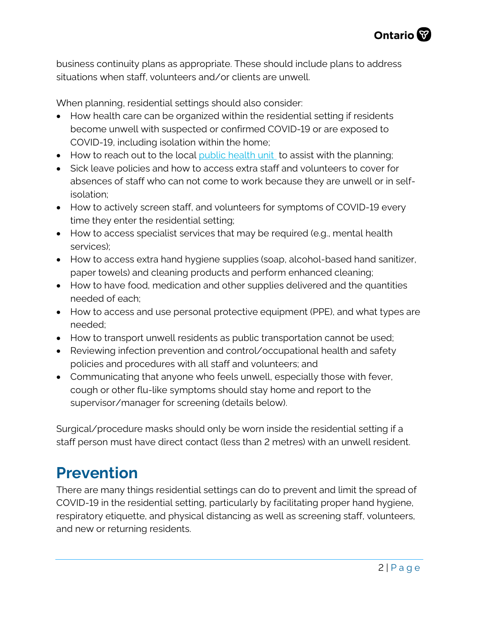business continuity plans as appropriate. These should include plans to address situations when staff, volunteers and/or clients are unwell.

When planning, residential settings should also consider:

- How health care can be organized within the residential setting if residents become unwell with suspected or confirmed COVID-19 or are exposed to COVID-19, including isolation within the home;
- How to reach out to the local [public health unit](https://www.phdapps.health.gov.on.ca/PHULocator/) to assist with the planning;
- Sick leave policies and how to access extra staff and volunteers to cover for absences of staff who can not come to work because they are unwell or in selfisolation;
- How to actively screen staff, and volunteers for symptoms of COVID-19 every time they enter the residential setting;
- How to access specialist services that may be required (e.g., mental health services);
- How to access extra hand hygiene supplies (soap, alcohol-based hand sanitizer, paper towels) and cleaning products and perform enhanced cleaning;
- How to have food, medication and other supplies delivered and the quantities needed of each;
- How to access and use personal protective equipment (PPE), and what types are needed;
- How to transport unwell residents as public transportation cannot be used;
- Reviewing infection prevention and control/occupational health and safety policies and procedures with all staff and volunteers; and
- Communicating that anyone who feels unwell, especially those with fever, cough or other flu-like symptoms should stay home and report to the supervisor/manager for screening (details below).

Surgical/procedure masks should only be worn inside the residential setting if a staff person must have direct contact (less than 2 metres) with an unwell resident.

## **Prevention**

There are many things residential settings can do to prevent and limit the spread of COVID-19 in the residential setting, particularly by facilitating proper hand hygiene, respiratory etiquette, and physical distancing as well as screening staff, volunteers, and new or returning residents.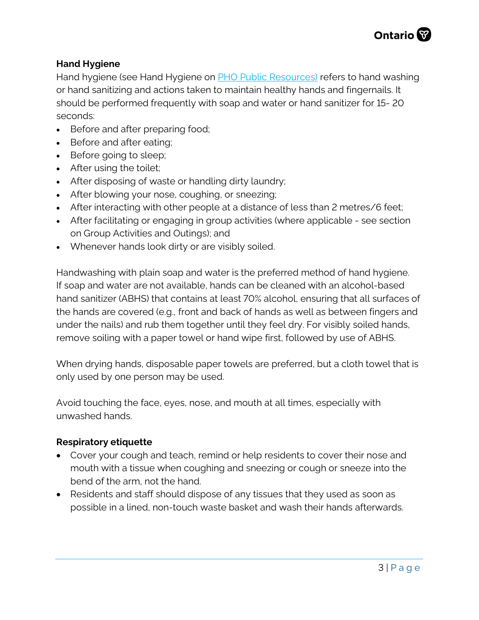#### **Hand Hygiene**

Hand hygiene (see Hand Hygiene on **PHO Public Resources)** refers to hand washing or hand sanitizing and actions taken to maintain healthy hands and fingernails. It should be performed frequently with soap and water or hand sanitizer for 15- 20 seconds:

- Before and after preparing food;
- Before and after eating;
- Before going to sleep;
- After using the toilet;
- After disposing of waste or handling dirty laundry;
- After blowing your nose, coughing, or sneezing;
- After interacting with other people at a distance of less than 2 metres/6 feet;
- After facilitating or engaging in group activities (where applicable see section on Group Activities and Outings); and
- Whenever hands look dirty or are visibly soiled.

Handwashing with plain soap and water is the preferred method of hand hygiene. If soap and water are not available, hands can be cleaned with an alcohol-based hand sanitizer (ABHS) that contains at least 70% alcohol, ensuring that all surfaces of the hands are covered (e.g., front and back of hands as well as between fingers and under the nails) and rub them together until they feel dry. For visibly soiled hands, remove soiling with a paper towel or hand wipe first, followed by use of ABHS.

When drying hands, disposable paper towels are preferred, but a cloth towel that is only used by one person may be used.

Avoid touching the face, eyes, nose, and mouth at all times, especially with unwashed hands.

#### **Respiratory etiquette**

- Cover your cough and teach, remind or help residents to cover their nose and mouth with a tissue when coughing and sneezing or cough or sneeze into the bend of the arm, not the hand.
- Residents and staff should dispose of any tissues that they used as soon as possible in a lined, non-touch waste basket and wash their hands afterwards.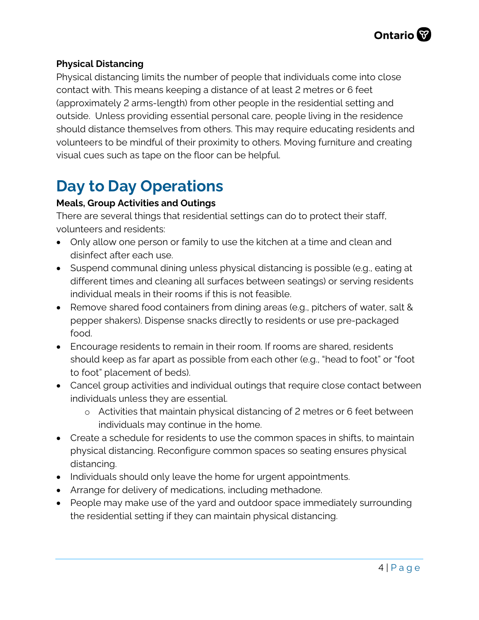### **Physical Distancing**

Physical distancing limits the number of people that individuals come into close contact with. This means keeping a distance of at least 2 metres or 6 feet (approximately 2 arms-length) from other people in the residential setting and outside. Unless providing essential personal care, people living in the residence should distance themselves from others. This may require educating residents and volunteers to be mindful of their proximity to others. Moving furniture and creating visual cues such as tape on the floor can be helpful.

## **Day to Day Operations**

### **Meals, Group Activities and Outings**

There are several things that residential settings can do to protect their staff, volunteers and residents:

- Only allow one person or family to use the kitchen at a time and clean and disinfect after each use.
- Suspend communal dining unless physical distancing is possible (e.g., eating at different times and cleaning all surfaces between seatings) or serving residents individual meals in their rooms if this is not feasible.
- Remove shared food containers from dining areas (e.g., pitchers of water, salt & pepper shakers). Dispense snacks directly to residents or use pre-packaged food.
- Encourage residents to remain in their room. If rooms are shared, residents should keep as far apart as possible from each other (e.g., "head to foot" or "foot to foot" placement of beds).
- Cancel group activities and individual outings that require close contact between individuals unless they are essential.
	- o Activities that maintain physical distancing of 2 metres or 6 feet between individuals may continue in the home.
- Create a schedule for residents to use the common spaces in shifts, to maintain physical distancing. Reconfigure common spaces so seating ensures physical distancing.
- Individuals should only leave the home for urgent appointments.
- Arrange for delivery of medications, including methadone.
- People may make use of the yard and outdoor space immediately surrounding the residential setting if they can maintain physical distancing.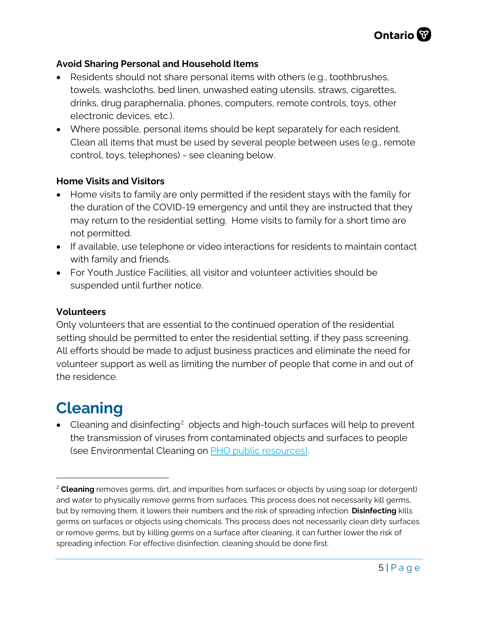#### **Avoid Sharing Personal and Household Items**

- Residents should not share personal items with others (e.g., toothbrushes, towels, washcloths, bed linen, unwashed eating utensils, straws, cigarettes, drinks, drug paraphernalia, phones, computers, remote controls, toys, other electronic devices, etc.).
- Where possible, personal items should be kept separately for each resident. Clean all items that must be used by several people between uses (e.g., remote control, toys, telephones) - see cleaning below.

### **Home Visits and Visitors**

- Home visits to family are only permitted if the resident stays with the family for the duration of the COVID-19 emergency and until they are instructed that they may return to the residential setting. Home visits to family for a short time are not permitted.
- If available, use telephone or video interactions for residents to maintain contact with family and friends.
- For Youth Justice Facilities, all visitor and volunteer activities should be suspended until further notice.

#### **Volunteers**

Only volunteers that are essential to the continued operation of the residential setting should be permitted to enter the residential setting, if they pass screening. All efforts should be made to adjust business practices and eliminate the need for volunteer support as well as limiting the number of people that come in and out of the residence.

### **Cleaning**

• Cleaning and disinfecting<sup>2</sup> objects and high-touch surfaces will help to prevent the transmission of viruses from contaminated objects and surfaces to people (see Environmental Cleaning on [PHO public resources\).](https://www.publichealthontario.ca/en/diseases-and-conditions/infectious-diseases/respiratory-diseases/novel-coronavirus/public-resources)

<span id="page-4-0"></span><sup>2</sup> **Cleaning** removes germs, dirt, and impurities from surfaces or objects by using soap (or detergent) and water to physically remove germs from surfaces. This process does not necessarily kill germs, but by removing them, it lowers their numbers and the risk of spreading infection. **Disinfecting** kills germs on surfaces or objects using chemicals. This process does not necessarily clean dirty surfaces or remove germs, but by killing germs on a surface after cleaning, it can further lower the risk of spreading infection. For effective disinfection, cleaning should be done first.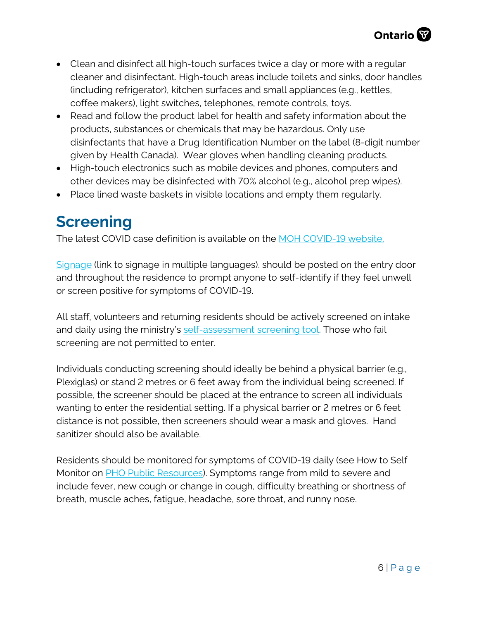- Clean and disinfect all high-touch surfaces twice a day or more with a regular cleaner and disinfectant. High-touch areas include toilets and sinks, door handles (including refrigerator), kitchen surfaces and small appliances (e.g., kettles, coffee makers), light switches, telephones, remote controls, toys.
- Read and follow the product label for health and safety information about the products, substances or chemicals that may be hazardous. Only use disinfectants that have a Drug Identification Number on the label (8-digit number given by Health Canada). Wear gloves when handling cleaning products.
- High-touch electronics such as mobile devices and phones, computers and other devices may be disinfected with 70% alcohol (e.g., alcohol prep wipes).
- Place lined waste baskets in visible locations and empty them regularly.

## **Screening**

The latest COVID case definition is available on the [MOH COVID-19 website.](http://www.health.gov.on.ca/en/pro/programs/publichealth/coronavirus/2019_guidance.aspx)

[Signage](http://www.health.gov.on.ca/en/pro/programs/publichealth/coronavirus/2019_guidance.aspx) (link to signage in multiple languages). should be posted on the entry door and throughout the residence to prompt anyone to self-identify if they feel unwell or screen positive for symptoms of COVID-19.

All staff, volunteers and returning residents should be actively screened on intake and daily using the ministry's [self-assessment screening tool.](https://covid-19.ontario.ca/self-assessment/) Those who fail screening are not permitted to enter.

Individuals conducting screening should ideally be behind a physical barrier (e.g., Plexiglas) or stand 2 metres or 6 feet away from the individual being screened. If possible, the screener should be placed at the entrance to screen all individuals wanting to enter the residential setting. If a physical barrier or 2 metres or 6 feet distance is not possible, then screeners should wear a mask and gloves. Hand sanitizer should also be available.

Residents should be monitored for symptoms of COVID-19 daily (see How to Self Monitor on **PHO Public Resources**). Symptoms range from mild to severe and include fever, new cough or change in cough, difficulty breathing or shortness of breath, muscle aches, fatigue, headache, sore throat, and runny nose.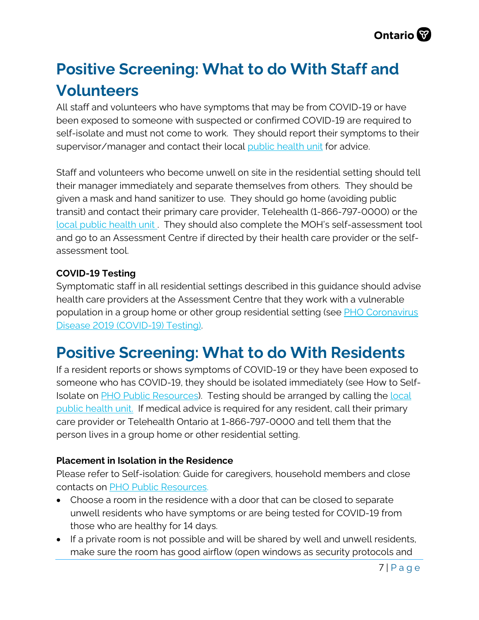# **Positive Screening: What to do With Staff and Volunteers**

All staff and volunteers who have symptoms that may be from COVID-19 or have been exposed to someone with suspected or confirmed COVID-19 are required to self-isolate and must not come to work. They should report their symptoms to their supervisor/manager and contact their local [public health unit](https://www.phdapps.health.gov.on.ca/PHULocator/) for advice.

Staff and volunteers who become unwell on site in the residential setting should tell their manager immediately and separate themselves from others. They should be given a mask and hand sanitizer to use. They should go home (avoiding public transit) and contact their primary care provider, Telehealth (1-866-797-0000) or the [local public health unit](https://www.phdapps.health.gov.on.ca/PHULocator/) . They should also complete the MOH's self-assessment tool and go to an Assessment Centre if directed by their health care provider or the selfassessment tool.

### **COVID-19 Testing**

Symptomatic staff in all residential settings described in this guidance should advise health care providers at the Assessment Centre that they work with a vulnerable population in a group home or other group residential setting (see **PHO Coronavirus** [Disease 2019 \(COVID-19\) Testing\).](https://www.publichealthontario.ca/en/laboratory-services/test-information-index/wuhan-novel-coronavirus)

### **Positive Screening: What to do With Residents**

If a resident reports or shows symptoms of COVID-19 or they have been exposed to someone who has COVID-19, they should be isolated immediately (see How to Self-Isolate on [PHO Public Resources\)](https://www.publichealthontario.ca/en/diseases-and-conditions/infectious-diseases/respiratory-diseases/novel-coronavirus/public-resources). Testing should be arranged by calling the [local](https://www.phdapps.health.gov.on.ca/PHULocator/)  [public health unit.](https://www.phdapps.health.gov.on.ca/PHULocator/) If medical advice is required for any resident, call their primary care provider or Telehealth Ontario at 1-866-797-0000 and tell them that the person lives in a group home or other residential setting.

### **Placement in Isolation in the Residence**

Please refer to Self-isolation: Guide for caregivers, household members and close contacts on [PHO Public Resources.](https://www.publichealthontario.ca/en/diseases-and-conditions/infectious-diseases/respiratory-diseases/novel-coronavirus/public-resources) 

- Choose a room in the residence with a door that can be closed to separate unwell residents who have symptoms or are being tested for COVID-19 from those who are healthy for 14 days.
- If a private room is not possible and will be shared by well and unwell residents, make sure the room has good airflow (open windows as security protocols and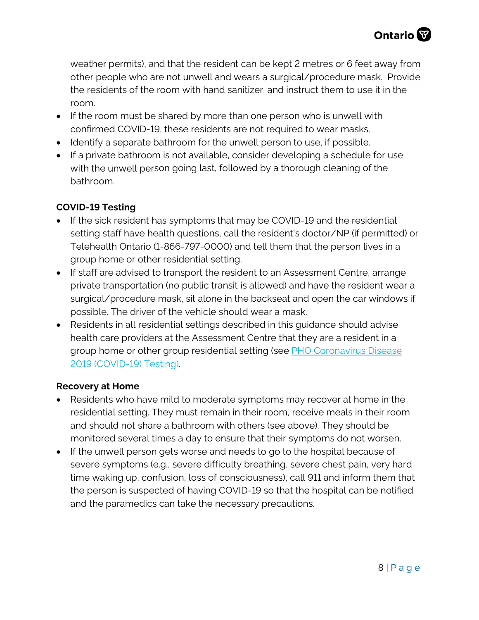weather permits), and that the resident can be kept 2 metres or 6 feet away from other people who are not unwell and wears a surgical/procedure mask. Provide the residents of the room with hand sanitizer. and instruct them to use it in the room.

- If the room must be shared by more than one person who is unwell with confirmed COVID-19, these residents are not required to wear masks.
- Identify a separate bathroom for the unwell person to use, if possible.
- If a private bathroom is not available, consider developing a schedule for use with the unwell person going last, followed by a thorough cleaning of the bathroom.

### **COVID-19 Testing**

- If the sick resident has symptoms that may be COVID-19 and the residential setting staff have health questions, call the resident's doctor/NP (if permitted) or Telehealth Ontario (1-866-797-0000) and tell them that the person lives in a group home or other residential setting.
- If staff are advised to transport the resident to an Assessment Centre, arrange private transportation (no public transit is allowed) and have the resident wear a surgical/procedure mask, sit alone in the backseat and open the car windows if possible. The driver of the vehicle should wear a mask.
- Residents in all residential settings described in this guidance should advise health care providers at the Assessment Centre that they are a resident in a group home or other group residential setting (see [PHO Coronavirus Disease](https://www.publichealthontario.ca/en/laboratory-services/test-information-index/wuhan-novel-coronavirus) [2019 \(COVID-19\) Testing\).](https://www.publichealthontario.ca/en/laboratory-services/test-information-index/wuhan-novel-coronavirus)

#### **Recovery at Home**

- Residents who have mild to moderate symptoms may recover at home in the residential setting. They must remain in their room, receive meals in their room and should not share a bathroom with others (see above). They should be monitored several times a day to ensure that their symptoms do not worsen.
- If the unwell person gets worse and needs to go to the hospital because of severe symptoms (e.g., severe difficulty breathing, severe chest pain, very hard time waking up, confusion, loss of consciousness), call 911 and inform them that the person is suspected of having COVID-19 so that the hospital can be notified and the paramedics can take the necessary precautions.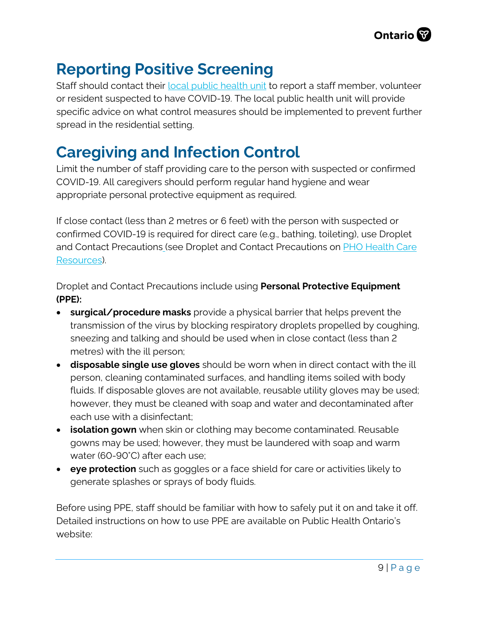## **Reporting Positive Screening**

Staff should contact their [local public health unit](https://www.phdapps.health.gov.on.ca/PHULocator/) to report a staff member, volunteer or resident suspected to have COVID-19. The local public health unit will provide specific advice on what control measures should be implemented to prevent further spread in the residential setting.

### **Caregiving and Infection Control**

Limit the number of staff providing care to the person with suspected or confirmed COVID-19. All caregivers should perform regular hand hygiene and wear appropriate personal protective equipment as required.

If close contact (less than 2 metres or 6 feet) with the person with suspected or confirmed COVID-19 is required for direct care (e.g., bathing, toileting), use Droplet and Contact Precautions (see Droplet and Contact Precautions on [PHO Health Care](https://www.publichealthontario.ca/en/diseases-and-conditions/infectious-diseases/respiratory-diseases/novel-coronavirus/health-care-resources)  [Resources\)](https://www.publichealthontario.ca/en/diseases-and-conditions/infectious-diseases/respiratory-diseases/novel-coronavirus/health-care-resources).

Droplet and Contact Precautions include using **Personal Protective Equipment (PPE):** 

- **surgical/procedure masks** provide a physical barrier that helps prevent the transmission of the virus by blocking respiratory droplets propelled by coughing, sneezing and talking and should be used when in close contact (less than 2 metres) with the ill person;
- **disposable single use gloves** should be worn when in direct contact with the ill person, cleaning contaminated surfaces, and handling items soiled with body fluids. If disposable gloves are not available, reusable utility gloves may be used; however, they must be cleaned with soap and water and decontaminated after each use with a disinfectant;
- **isolation gown** when skin or clothing may become contaminated. Reusable gowns may be used; however, they must be laundered with soap and warm water (60-90°C) after each use;
- **eye protection** such as goggles or a face shield for care or activities likely to generate splashes or sprays of body fluids.

Before using PPE, staff should be familiar with how to safely put it on and take it off. Detailed instructions on how to use PPE are available on Public Health Ontario's website: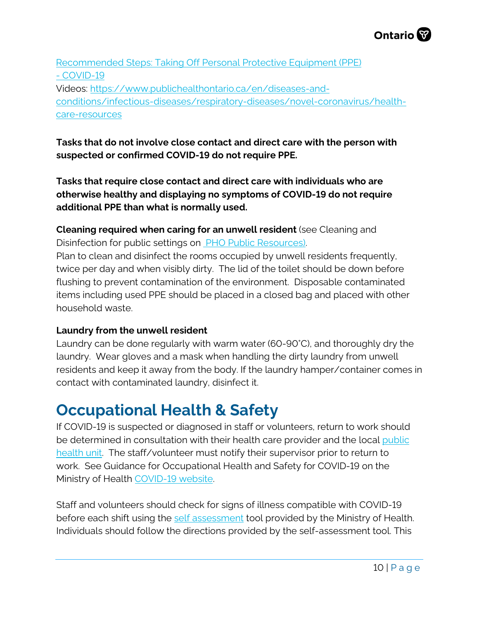

[Recommended Steps: Taking Off Personal Protective Equipment \(PPE\)](https://www.publichealthontario.ca/en/diseases-and-conditions/infectious-diseases/respiratory-diseases/novel-coronavirus/health-care-resources) - COVID-19 Videos: [https://www.publichealthontario.ca/en/diseases-and](https://www.publichealthontario.ca/en/diseases-and-conditions/infectious-diseases/respiratory-diseases/novel-coronavirus/health-care-resources)[conditions/infectious-diseases/respiratory-diseases/novel-coronavirus/health](https://www.publichealthontario.ca/en/diseases-and-conditions/infectious-diseases/respiratory-diseases/novel-coronavirus/health-care-resources)[care-resources](https://www.publichealthontario.ca/en/diseases-and-conditions/infectious-diseases/respiratory-diseases/novel-coronavirus/health-care-resources)

### **Tasks that do not involve close contact and direct care with the person with suspected or confirmed COVID-19 do not require PPE.**

**Tasks that require close contact and direct care with individuals who are otherwise healthy and displaying no symptoms of COVID-19 do not require additional PPE than what is normally used.**

**Cleaning required when caring for an unwell resident** (see Cleaning and Disinfection for public settings on [PHO Public Resources\).](https://www.publichealthontario.ca/en/diseases-and-conditions/infectious-diseases/respiratory-diseases/novel-coronavirus/public-resources)

Plan to clean and disinfect the rooms occupied by unwell residents frequently, twice per day and when visibly dirty. The lid of the toilet should be down before flushing to prevent contamination of the environment. Disposable contaminated items including used PPE should be placed in a closed bag and placed with other household waste.

#### **Laundry from the unwell resident**

Laundry can be done regularly with warm water (60-90°C), and thoroughly dry the laundry. Wear gloves and a mask when handling the dirty laundry from unwell residents and keep it away from the body. If the laundry hamper/container comes in contact with contaminated laundry, disinfect it.

### **Occupational Health & Safety**

If COVID-19 is suspected or diagnosed in staff or volunteers, return to work should be determined in consultation with their health care provider and the local [public](http://www.health.gov.on.ca/en/common/system/services/phu/locations.aspx)  [health unit.](http://www.health.gov.on.ca/en/common/system/services/phu/locations.aspx) The staff/volunteer must notify their supervisor prior to return to work. See Guidance for Occupational Health and Safety for COVID-19 on the Ministry of Health COVID-19 website.

Staff and volunteers should check for signs of illness compatible with COVID-19 before each shift using the [self assessment](https://covid-19.ontario.ca/self-assessment/#q0) tool provided by the Ministry of Health. Individuals should follow the directions provided by the self-assessment tool. This